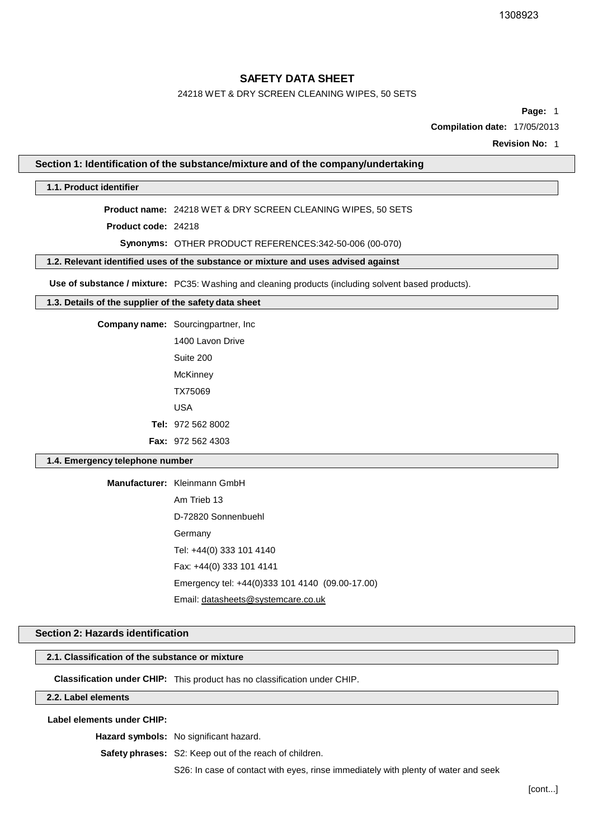# 24218 WET & DRY SCREEN CLEANING WIPES, 50 SETS

**Page:** 1

**Compilation date:** 17/05/2013

**Revision No:** 1

#### **Section 1: Identification of the substance/mixture and of the company/undertaking**

#### **1.1. Product identifier**

**Product name:** 24218 WET & DRY SCREEN CLEANING WIPES, 50 SETS

**Product code:** 24218

**Synonyms:** OTHER PRODUCT REFERENCES:342-50-006 (00-070)

**1.2. Relevant identified uses of the substance or mixture and uses advised against**

**Use of substance / mixture:** PC35: Washing and cleaning products (including solvent based products).

# **1.3. Details of the supplier of the safety data sheet**

**Company name:** Sourcingpartner, Inc

1400 Lavon Drive Suite 200 **McKinney** TX75069 USA **Tel:** 972 562 8002 **Fax:** 972 562 4303

#### **1.4. Emergency telephone number**

**Manufacturer:** Kleinmann GmbH

Am Trieb 13 D-72820 Sonnenbuehl Germany Tel: +44(0) 333 101 4140 Fax: +44(0) 333 101 4141 Emergency tel: +44(0)333 101 4140 (09.00-17.00) Email: [datasheets@systemcare.co.uk](mailto:datasheets@systemcare.co.uk)

## **Section 2: Hazards identification**

#### **2.1. Classification of the substance or mixture**

**Classification under CHIP:** This product has no classification under CHIP.

## **2.2. Label elements**

**Label elements under CHIP:**

**Hazard symbols:** No significant hazard.

**Safety phrases:** S2: Keep out of the reach of children.

S26: In case of contact with eyes, rinse immediately with plenty of water and seek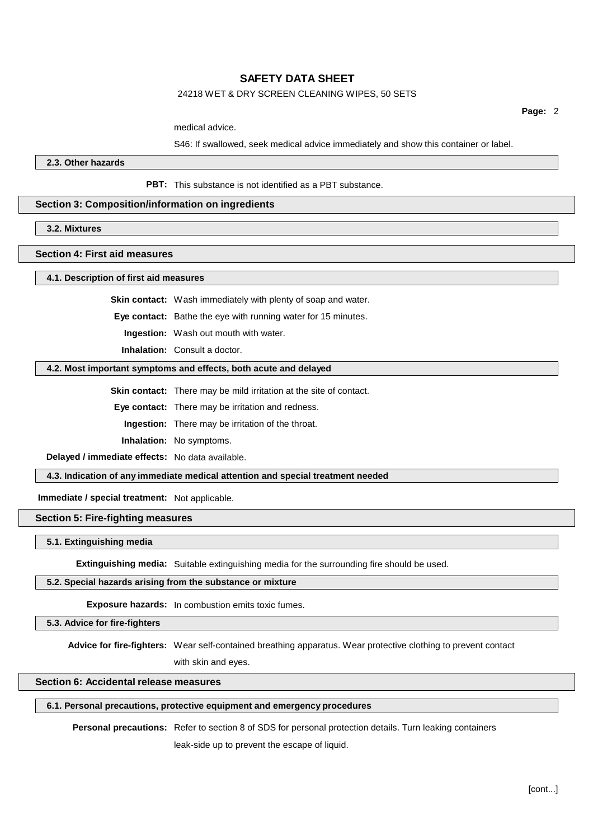#### 24218 WET & DRY SCREEN CLEANING WIPES, 50 SETS

**Page:** 2

medical advice.

S46: If swallowed, seek medical advice immediately and show this container or label.

**2.3. Other hazards**

**PBT:** This substance is not identified as a PBT substance.

## **Section 3: Composition/information on ingredients**

**3.2. Mixtures**

#### **Section 4: First aid measures**

**4.1. Description of first aid measures**

**Skin contact:** Wash immediately with plenty of soap and water.

**Eye contact:** Bathe the eye with running water for 15 minutes.

**Ingestion:** Wash out mouth with water.

**Inhalation:** Consult a doctor.

#### **4.2. Most important symptoms and effects, both acute and delayed**

**Skin contact:** There may be mild irritation at the site of contact.

**Eye contact:** There may be irritation and redness.

**Ingestion:** There may be irritation of the throat.

**Inhalation:** No symptoms.

**Delayed / immediate effects:** No data available.

**4.3. Indication of any immediate medical attention and special treatment needed**

**Immediate / special treatment:** Not applicable.

**Section 5: Fire-fighting measures**

#### **5.1. Extinguishing media**

**Extinguishing media:** Suitable extinguishing media for the surrounding fire should be used.

# **5.2. Special hazards arising from the substance or mixture**

**Exposure hazards:** In combustion emits toxic fumes.

#### **5.3. Advice for fire-fighters**

**Advice for fire-fighters:** Wear self-contained breathing apparatus. Wear protective clothing to prevent contact with skin and eyes.

## **Section 6: Accidental release measures**

#### **6.1. Personal precautions, protective equipment and emergency procedures**

**Personal precautions:** Refer to section 8 of SDS for personal protection details. Turn leaking containers

leak-side up to prevent the escape of liquid.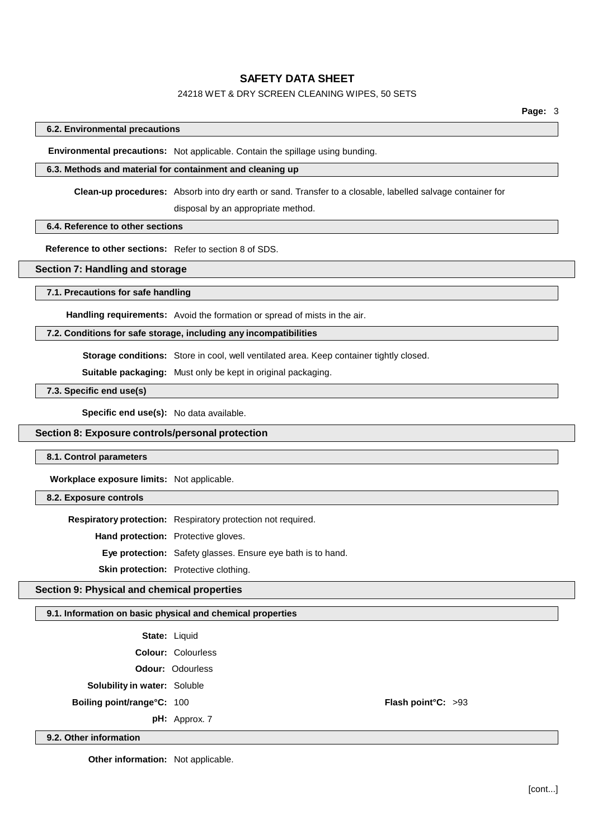# 24218 WET & DRY SCREEN CLEANING WIPES, 50 SETS

**Page:** 3

## **6.2. Environmental precautions**

**Environmental precautions:** Not applicable. Contain the spillage using bunding.

# **6.3. Methods and material for containment and cleaning up**

**Clean-up procedures:** Absorb into dry earth or sand. Transfer to a closable, labelled salvage container for disposal by an appropriate method.

## **6.4. Reference to other sections**

**Reference to other sections:** Refer to section 8 of SDS.

# **Section 7: Handling and storage**

#### **7.1. Precautions for safe handling**

**Handling requirements:** Avoid the formation or spread of mists in the air.

## **7.2. Conditions for safe storage, including any incompatibilities**

**Storage conditions:** Store in cool, well ventilated area. Keep container tightly closed.

**Suitable packaging:** Must only be kept in original packaging.

**7.3. Specific end use(s)**

**Specific end use(s):** No data available.

### **Section 8: Exposure controls/personal protection**

## **8.1. Control parameters**

**Workplace exposure limits:** Not applicable.

# **8.2. Exposure controls**

**9.2. Other information**

**Respiratory protection:** Respiratory protection not required.

**Hand protection:** Protective gloves.

**Eye protection:** Safety glasses. Ensure eye bath is to hand.

**Skin protection:** Protective clothing.

## **Section 9: Physical and chemical properties**

#### **9.1. Information on basic physical and chemical properties**

|                                     | <b>State: Liquid</b>      |                    |  |
|-------------------------------------|---------------------------|--------------------|--|
|                                     | <b>Colour: Colourless</b> |                    |  |
|                                     | <b>Odour: Odourless</b>   |                    |  |
| <b>Solubility in water: Soluble</b> |                           |                    |  |
| <b>Boiling point/range°C: 100</b>   |                           | Flash point°C: >93 |  |
|                                     | $pH:$ Approx. 7           |                    |  |

**Other information:** Not applicable.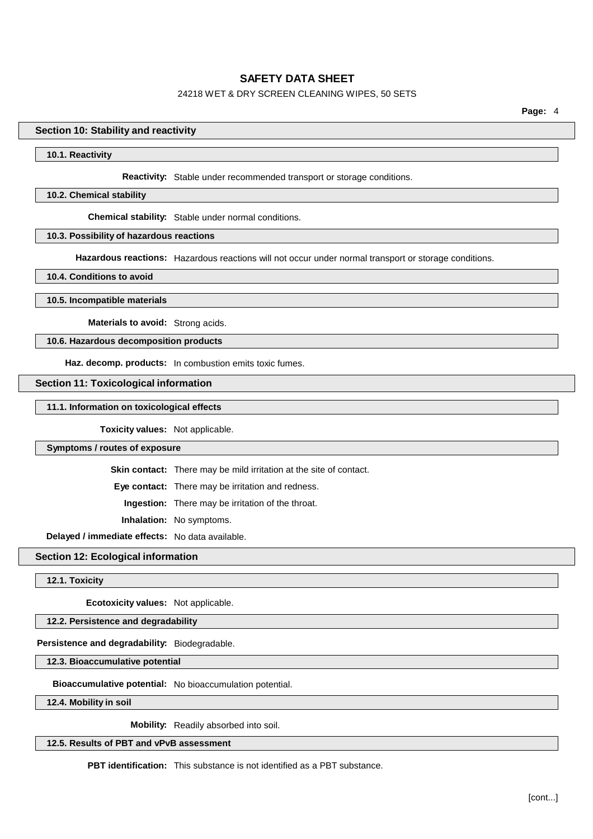# 24218 WET & DRY SCREEN CLEANING WIPES, 50 SETS

**Page:** 4

#### **Section 10: Stability and reactivity**

#### **10.1. Reactivity**

**Reactivity:** Stable under recommended transport or storage conditions.

#### **10.2. Chemical stability**

**Chemical stability:** Stable under normal conditions.

## **10.3. Possibility of hazardous reactions**

**Hazardous reactions:** Hazardous reactions will not occur under normal transport or storage conditions.

**10.4. Conditions to avoid**

**10.5. Incompatible materials**

**Materials to avoid:** Strong acids.

### **10.6. Hazardous decomposition products**

**Haz. decomp. products:** In combustion emits toxic fumes.

#### **Section 11: Toxicological information**

**11.1. Information on toxicological effects**

**Toxicity values:** Not applicable.

**Symptoms / routes of exposure**

**Skin contact:** There may be mild irritation at the site of contact.

**Eye contact:** There may be irritation and redness.

**Ingestion:** There may be irritation of the throat.

**Inhalation:** No symptoms.

**Delayed / immediate effects:** No data available.

**Section 12: Ecological information**

**12.1. Toxicity**

**Ecotoxicity values:** Not applicable.

# **12.2. Persistence and degradability**

# **Persistence and degradability:** Biodegradable.

**12.3. Bioaccumulative potential**

**Bioaccumulative potential:** No bioaccumulation potential.

**12.4. Mobility in soil**

**Mobility:** Readily absorbed into soil.

**12.5. Results of PBT and vPvB assessment**

**PBT identification:** This substance is not identified as a PBT substance.